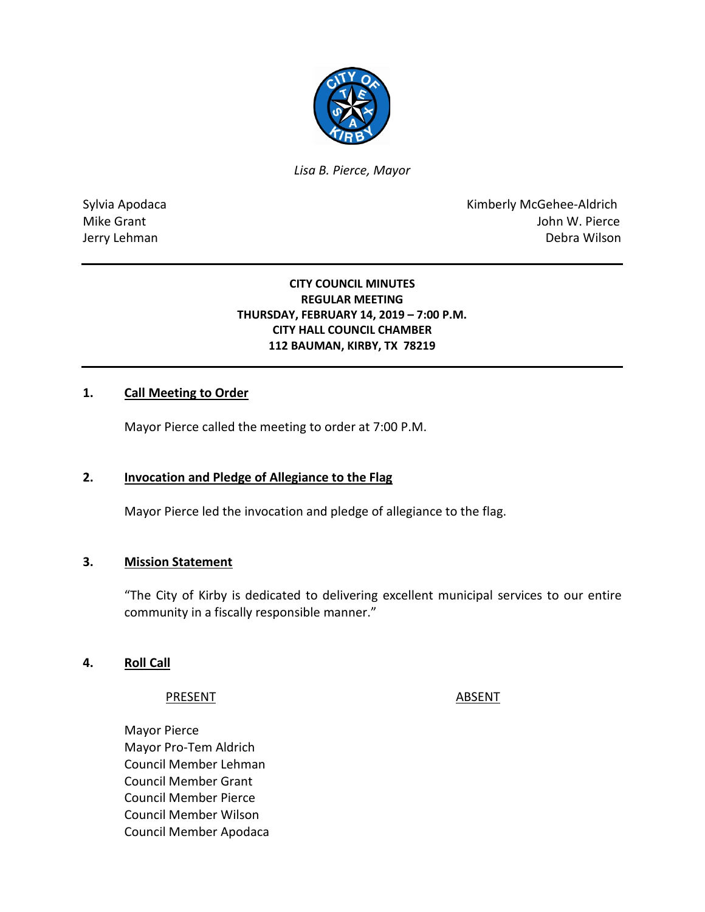

*Lisa B. Pierce, Mayor* 

Sylvia Apodaca **Kimberly McGehee-Aldrich** Mike Grant **Mike Grant** John W. Pierce Jerry Lehman Debra Wilson

### **CITY COUNCIL MINUTES REGULAR MEETING THURSDAY, FEBRUARY 14, 2019 – 7:00 P.M. CITY HALL COUNCIL CHAMBER 112 BAUMAN, KIRBY, TX 78219**

### **1. Call Meeting to Order**

Mayor Pierce called the meeting to order at 7:00 P.M.

### **2. Invocation and Pledge of Allegiance to the Flag**

Mayor Pierce led the invocation and pledge of allegiance to the flag.

### **3. Mission Statement**

"The City of Kirby is dedicated to delivering excellent municipal services to our entire community in a fiscally responsible manner."

### **4. Roll Call**

#### PRESENT ABSENT

Mayor Pierce Mayor Pro-Tem Aldrich Council Member Lehman Council Member Grant Council Member Pierce Council Member Wilson Council Member Apodaca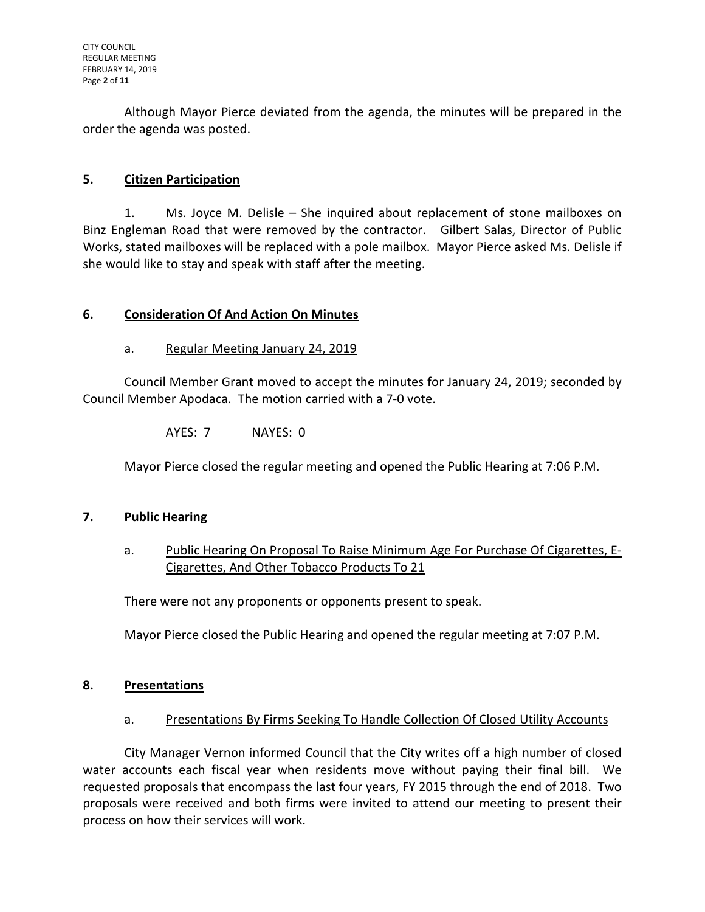Although Mayor Pierce deviated from the agenda, the minutes will be prepared in the order the agenda was posted.

# **5. Citizen Participation**

1. Ms. Joyce M. Delisle – She inquired about replacement of stone mailboxes on Binz Engleman Road that were removed by the contractor. Gilbert Salas, Director of Public Works, stated mailboxes will be replaced with a pole mailbox. Mayor Pierce asked Ms. Delisle if she would like to stay and speak with staff after the meeting.

## **6. Consideration Of And Action On Minutes**

## a. Regular Meeting January 24, 2019

Council Member Grant moved to accept the minutes for January 24, 2019; seconded by Council Member Apodaca. The motion carried with a 7-0 vote.

AYES: 7 NAYES: 0

Mayor Pierce closed the regular meeting and opened the Public Hearing at 7:06 P.M.

### **7. Public Hearing**

a. Public Hearing On Proposal To Raise Minimum Age For Purchase Of Cigarettes, E-Cigarettes, And Other Tobacco Products To 21

There were not any proponents or opponents present to speak.

Mayor Pierce closed the Public Hearing and opened the regular meeting at 7:07 P.M.

### **8. Presentations**

### a. Presentations By Firms Seeking To Handle Collection Of Closed Utility Accounts

City Manager Vernon informed Council that the City writes off a high number of closed water accounts each fiscal year when residents move without paying their final bill. We requested proposals that encompass the last four years, FY 2015 through the end of 2018. Two proposals were received and both firms were invited to attend our meeting to present their process on how their services will work.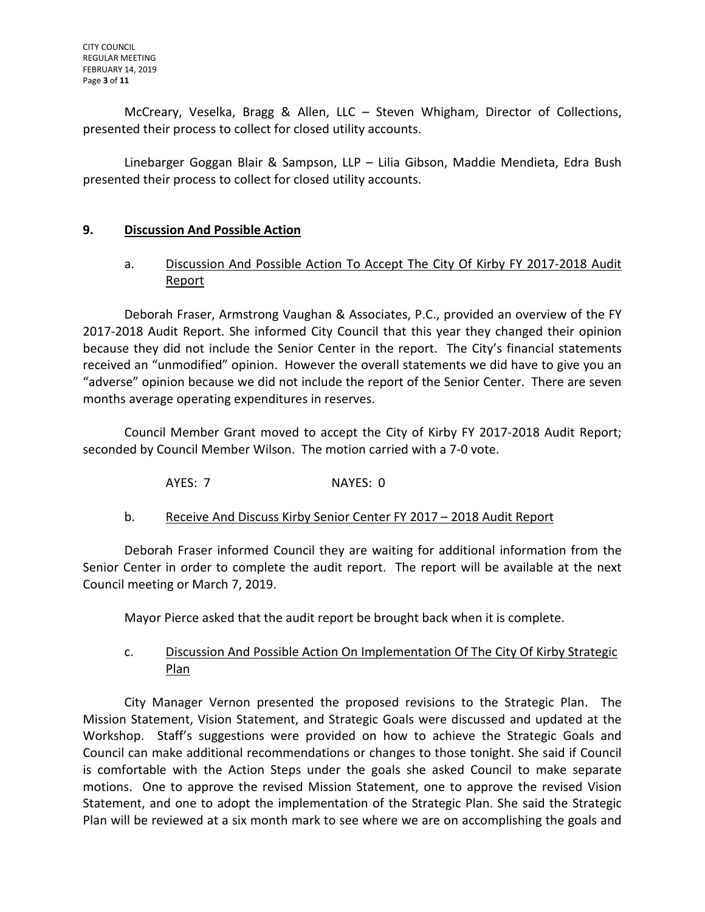McCreary, Veselka, Bragg & Allen, LLC – Steven Whigham, Director of Collections, presented their process to collect for closed utility accounts.

Linebarger Goggan Blair & Sampson, LLP – Lilia Gibson, Maddie Mendieta, Edra Bush presented their process to collect for closed utility accounts.

### **9. Discussion And Possible Action**

## a. Discussion And Possible Action To Accept The City Of Kirby FY 2017-2018 Audit Report

Deborah Fraser, Armstrong Vaughan & Associates, P.C., provided an overview of the FY 2017-2018 Audit Report. She informed City Council that this year they changed their opinion because they did not include the Senior Center in the report. The City's financial statements received an "unmodified" opinion. However the overall statements we did have to give you an "adverse" opinion because we did not include the report of the Senior Center. There are seven months average operating expenditures in reserves.

Council Member Grant moved to accept the City of Kirby FY 2017-2018 Audit Report; seconded by Council Member Wilson. The motion carried with a 7-0 vote.

AYES: 7 NAYES: 0

b. Receive And Discuss Kirby Senior Center FY 2017 – 2018 Audit Report

Deborah Fraser informed Council they are waiting for additional information from the Senior Center in order to complete the audit report. The report will be available at the next Council meeting or March 7, 2019.

Mayor Pierce asked that the audit report be brought back when it is complete.

### c. Discussion And Possible Action On Implementation Of The City Of Kirby Strategic Plan

City Manager Vernon presented the proposed revisions to the Strategic Plan. The Mission Statement, Vision Statement, and Strategic Goals were discussed and updated at the Workshop. Staff's suggestions were provided on how to achieve the Strategic Goals and Council can make additional recommendations or changes to those tonight. She said if Council is comfortable with the Action Steps under the goals she asked Council to make separate motions. One to approve the revised Mission Statement, one to approve the revised Vision Statement, and one to adopt the implementation of the Strategic Plan. She said the Strategic Plan will be reviewed at a six month mark to see where we are on accomplishing the goals and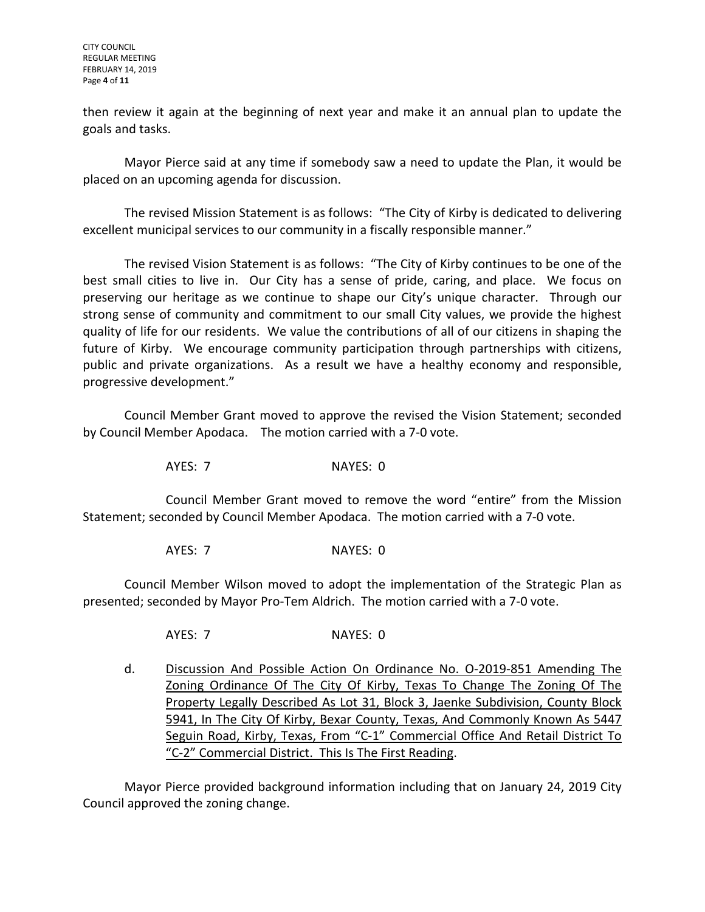CITY COUNCIL REGULAR MEETING FEBRUARY 14, 2019 Page **4** of **11**

then review it again at the beginning of next year and make it an annual plan to update the goals and tasks.

Mayor Pierce said at any time if somebody saw a need to update the Plan, it would be placed on an upcoming agenda for discussion.

The revised Mission Statement is as follows: "The City of Kirby is dedicated to delivering excellent municipal services to our community in a fiscally responsible manner."

The revised Vision Statement is as follows: "The City of Kirby continues to be one of the best small cities to live in. Our City has a sense of pride, caring, and place. We focus on preserving our heritage as we continue to shape our City's unique character. Through our strong sense of community and commitment to our small City values, we provide the highest quality of life for our residents. We value the contributions of all of our citizens in shaping the future of Kirby. We encourage community participation through partnerships with citizens, public and private organizations. As a result we have a healthy economy and responsible, progressive development."

Council Member Grant moved to approve the revised the Vision Statement; seconded by Council Member Apodaca. The motion carried with a 7-0 vote.

AYES: 7 NAYES: 0

Council Member Grant moved to remove the word "entire" from the Mission Statement; seconded by Council Member Apodaca. The motion carried with a 7-0 vote.

AYES: 7 NAYES: 0

Council Member Wilson moved to adopt the implementation of the Strategic Plan as presented; seconded by Mayor Pro-Tem Aldrich. The motion carried with a 7-0 vote.

AYES: 7 NAYES: 0

d. Discussion And Possible Action On Ordinance No. O-2019-851 Amending The Zoning Ordinance Of The City Of Kirby, Texas To Change The Zoning Of The Property Legally Described As Lot 31, Block 3, Jaenke Subdivision, County Block 5941, In The City Of Kirby, Bexar County, Texas, And Commonly Known As 5447 Seguin Road, Kirby, Texas, From "C-1" Commercial Office And Retail District To "C-2" Commercial District. This Is The First Reading.

Mayor Pierce provided background information including that on January 24, 2019 City Council approved the zoning change.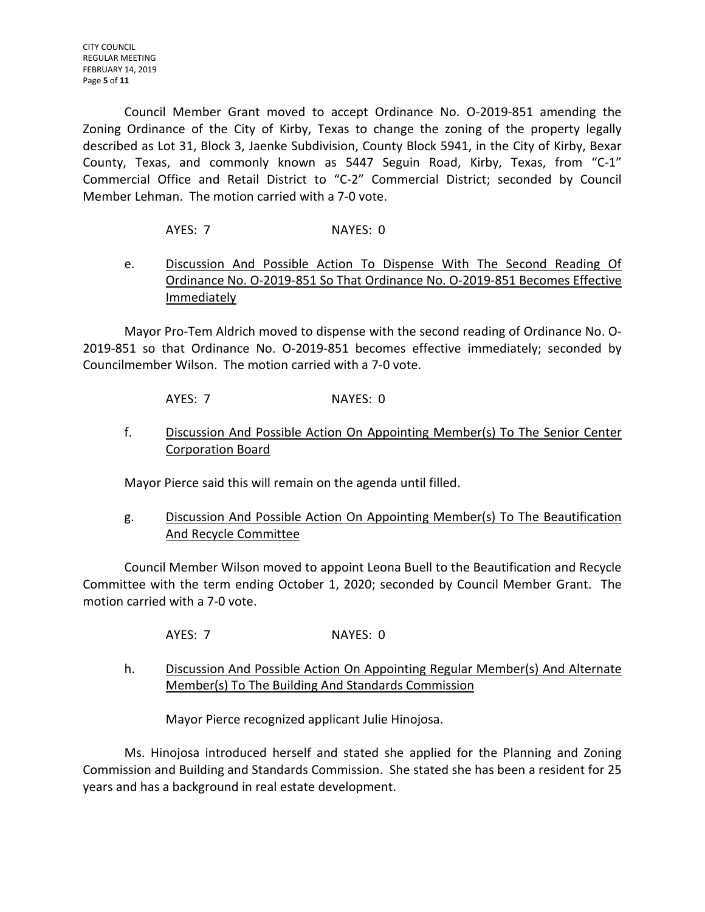Council Member Grant moved to accept Ordinance No. O-2019-851 amending the Zoning Ordinance of the City of Kirby, Texas to change the zoning of the property legally described as Lot 31, Block 3, Jaenke Subdivision, County Block 5941, in the City of Kirby, Bexar County, Texas, and commonly known as 5447 Seguin Road, Kirby, Texas, from "C-1" Commercial Office and Retail District to "C-2" Commercial District; seconded by Council Member Lehman. The motion carried with a 7-0 vote.

- AYES: 7 NAYES: 0
- e. Discussion And Possible Action To Dispense With The Second Reading Of Ordinance No. O-2019-851 So That Ordinance No. O-2019-851 Becomes Effective **Immediately**

Mayor Pro-Tem Aldrich moved to dispense with the second reading of Ordinance No. O-2019-851 so that Ordinance No. O-2019-851 becomes effective immediately; seconded by Councilmember Wilson. The motion carried with a 7-0 vote.

AYES: 7 NAYES: 0

f. Discussion And Possible Action On Appointing Member(s) To The Senior Center Corporation Board

Mayor Pierce said this will remain on the agenda until filled.

g. Discussion And Possible Action On Appointing Member(s) To The Beautification And Recycle Committee

Council Member Wilson moved to appoint Leona Buell to the Beautification and Recycle Committee with the term ending October 1, 2020; seconded by Council Member Grant. The motion carried with a 7-0 vote.

- AYES: 7 NAYES: 0
- h. Discussion And Possible Action On Appointing Regular Member(s) And Alternate Member(s) To The Building And Standards Commission

Mayor Pierce recognized applicant Julie Hinojosa.

Ms. Hinojosa introduced herself and stated she applied for the Planning and Zoning Commission and Building and Standards Commission. She stated she has been a resident for 25 years and has a background in real estate development.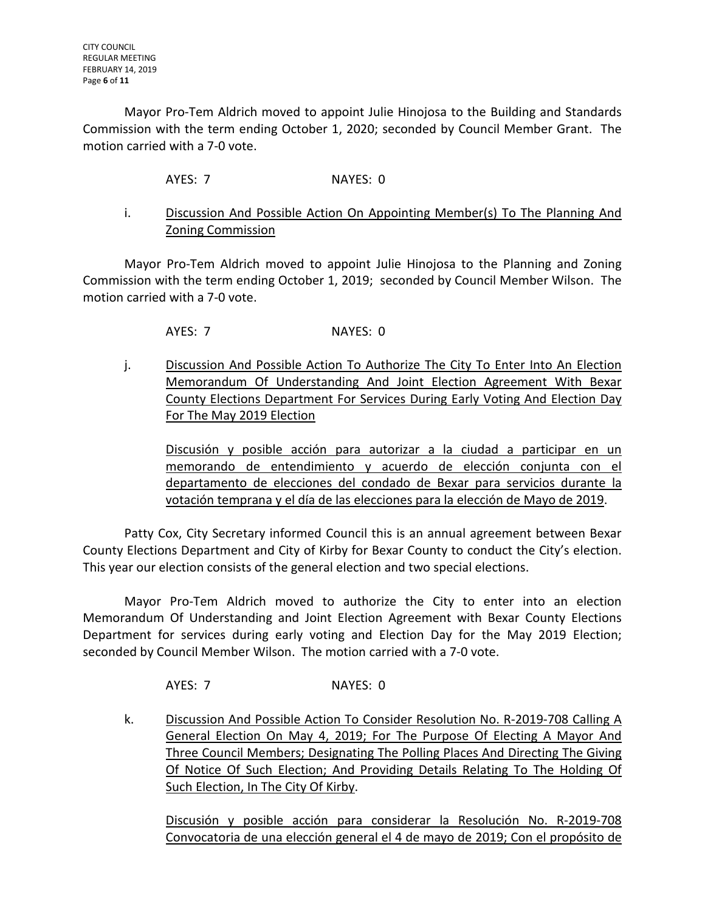Mayor Pro-Tem Aldrich moved to appoint Julie Hinojosa to the Building and Standards Commission with the term ending October 1, 2020; seconded by Council Member Grant. The motion carried with a 7-0 vote.

AYES: 7 NAYES: 0

i. Discussion And Possible Action On Appointing Member(s) To The Planning And Zoning Commission

Mayor Pro-Tem Aldrich moved to appoint Julie Hinojosa to the Planning and Zoning Commission with the term ending October 1, 2019; seconded by Council Member Wilson. The motion carried with a 7-0 vote.

AYES: 7 NAYES: 0

j. Discussion And Possible Action To Authorize The City To Enter Into An Election Memorandum Of Understanding And Joint Election Agreement With Bexar County Elections Department For Services During Early Voting And Election Day For The May 2019 Election

Discusión y posible acción para autorizar a la ciudad a participar en un memorando de entendimiento y acuerdo de elección conjunta con el departamento de elecciones del condado de Bexar para servicios durante la votación temprana y el día de las elecciones para la elección de Mayo de 2019.

Patty Cox, City Secretary informed Council this is an annual agreement between Bexar County Elections Department and City of Kirby for Bexar County to conduct the City's election. This year our election consists of the general election and two special elections.

Mayor Pro-Tem Aldrich moved to authorize the City to enter into an election Memorandum Of Understanding and Joint Election Agreement with Bexar County Elections Department for services during early voting and Election Day for the May 2019 Election; seconded by Council Member Wilson. The motion carried with a 7-0 vote.

AYES: 7 NAYES: 0

k. Discussion And Possible Action To Consider Resolution No. R-2019-708 Calling A General Election On May 4, 2019; For The Purpose Of Electing A Mayor And Three Council Members; Designating The Polling Places And Directing The Giving Of Notice Of Such Election; And Providing Details Relating To The Holding Of Such Election, In The City Of Kirby.

Discusión y posible acción para considerar la Resolución No. R-2019-708 Convocatoria de una elección general el 4 de mayo de 2019; Con el propósito de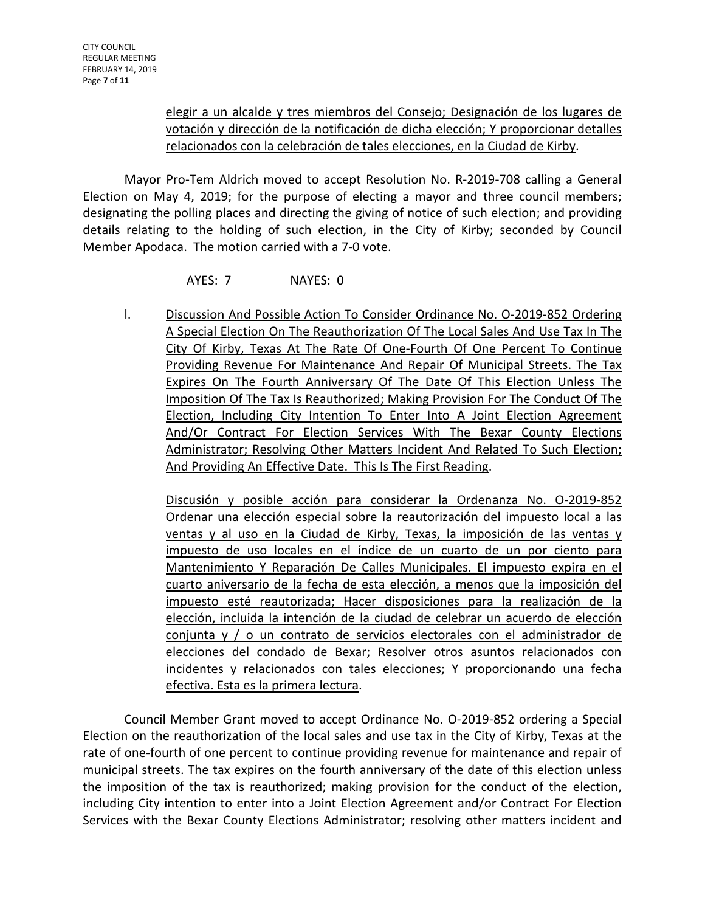## elegir a un alcalde y tres miembros del Consejo; Designación de los lugares de votación y dirección de la notificación de dicha elección; Y proporcionar detalles relacionados con la celebración de tales elecciones, en la Ciudad de Kirby.

Mayor Pro-Tem Aldrich moved to accept Resolution No. R-2019-708 calling a General Election on May 4, 2019; for the purpose of electing a mayor and three council members; designating the polling places and directing the giving of notice of such election; and providing details relating to the holding of such election, in the City of Kirby; seconded by Council Member Apodaca. The motion carried with a 7-0 vote.

## AYES: 7 NAYES: 0

l. Discussion And Possible Action To Consider Ordinance No. 0-2019-852 Ordering A Special Election On The Reauthorization Of The Local Sales And Use Tax In The City Of Kirby, Texas At The Rate Of One-Fourth Of One Percent To Continue Providing Revenue For Maintenance And Repair Of Municipal Streets. The Tax Expires On The Fourth Anniversary Of The Date Of This Election Unless The Imposition Of The Tax Is Reauthorized; Making Provision For The Conduct Of The Election, Including City Intention To Enter Into A Joint Election Agreement And/Or Contract For Election Services With The Bexar County Elections Administrator; Resolving Other Matters Incident And Related To Such Election; And Providing An Effective Date. This Is The First Reading.

Discusión y posible acción para considerar la Ordenanza No. O-2019-852 Ordenar una elección especial sobre la reautorización del impuesto local a las ventas y al uso en la Ciudad de Kirby, Texas, la imposición de las ventas y impuesto de uso locales en el índice de un cuarto de un por ciento para Mantenimiento Y Reparación De Calles Municipales. El impuesto expira en el cuarto aniversario de la fecha de esta elección, a menos que la imposición del impuesto esté reautorizada; Hacer disposiciones para la realización de la elección, incluida la intención de la ciudad de celebrar un acuerdo de elección conjunta y / o un contrato de servicios electorales con el administrador de elecciones del condado de Bexar; Resolver otros asuntos relacionados con incidentes y relacionados con tales elecciones; Y proporcionando una fecha efectiva. Esta es la primera lectura.

Council Member Grant moved to accept Ordinance No. O-2019-852 ordering a Special Election on the reauthorization of the local sales and use tax in the City of Kirby, Texas at the rate of one-fourth of one percent to continue providing revenue for maintenance and repair of municipal streets. The tax expires on the fourth anniversary of the date of this election unless the imposition of the tax is reauthorized; making provision for the conduct of the election, including City intention to enter into a Joint Election Agreement and/or Contract For Election Services with the Bexar County Elections Administrator; resolving other matters incident and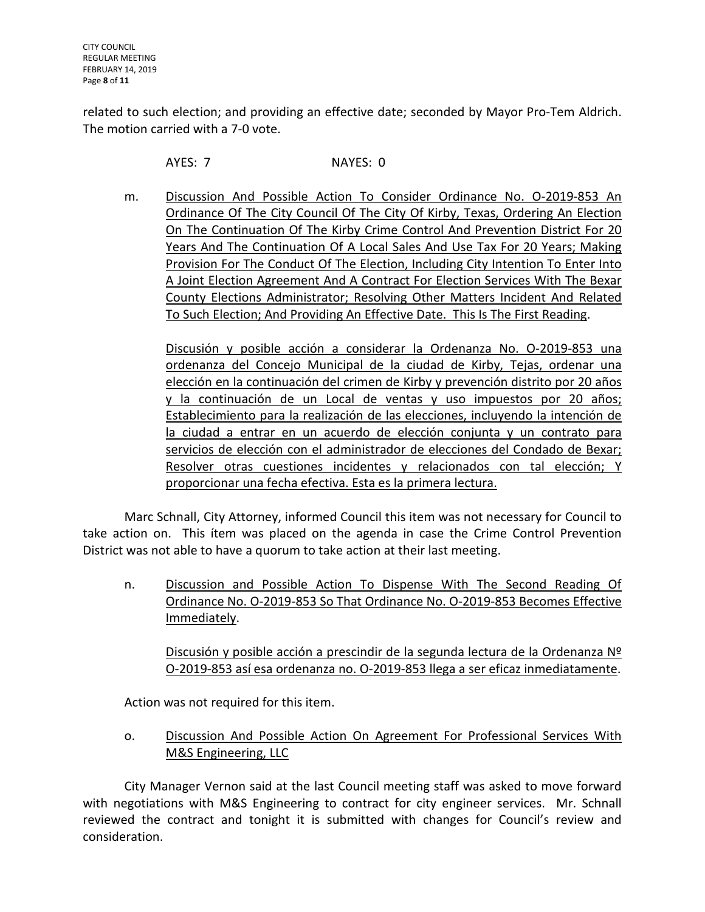related to such election; and providing an effective date; seconded by Mayor Pro-Tem Aldrich. The motion carried with a 7-0 vote.

AYES: 7 NAYES: 0

m. Discussion And Possible Action To Consider Ordinance No. O-2019-853 An Ordinance Of The City Council Of The City Of Kirby, Texas, Ordering An Election On The Continuation Of The Kirby Crime Control And Prevention District For 20 Years And The Continuation Of A Local Sales And Use Tax For 20 Years; Making Provision For The Conduct Of The Election, Including City Intention To Enter Into A Joint Election Agreement And A Contract For Election Services With The Bexar County Elections Administrator; Resolving Other Matters Incident And Related To Such Election; And Providing An Effective Date. This Is The First Reading.

Discusión y posible acción a considerar la Ordenanza No. O-2019-853 una ordenanza del Concejo Municipal de la ciudad de Kirby, Tejas, ordenar una elección en la continuación del crimen de Kirby y prevención distrito por 20 años y la continuación de un Local de ventas y uso impuestos por 20 años; Establecimiento para la realización de las elecciones, incluyendo la intención de la ciudad a entrar en un acuerdo de elección conjunta y un contrato para servicios de elección con el administrador de elecciones del Condado de Bexar; Resolver otras cuestiones incidentes y relacionados con tal elección; Y proporcionar una fecha efectiva. Esta es la primera lectura.

Marc Schnall, City Attorney, informed Council this item was not necessary for Council to take action on. This ítem was placed on the agenda in case the Crime Control Prevention District was not able to have a quorum to take action at their last meeting.

n. Discussion and Possible Action To Dispense With The Second Reading Of Ordinance No. O-2019-853 So That Ordinance No. O-2019-853 Becomes Effective Immediately.

Discusión y posible acción a prescindir de la segunda lectura de la Ordenanza Nº O-2019-853 así esa ordenanza no. O-2019-853 llega a ser eficaz inmediatamente.

Action was not required for this item.

o. Discussion And Possible Action On Agreement For Professional Services With M&S Engineering, LLC

City Manager Vernon said at the last Council meeting staff was asked to move forward with negotiations with M&S Engineering to contract for city engineer services. Mr. Schnall reviewed the contract and tonight it is submitted with changes for Council's review and consideration.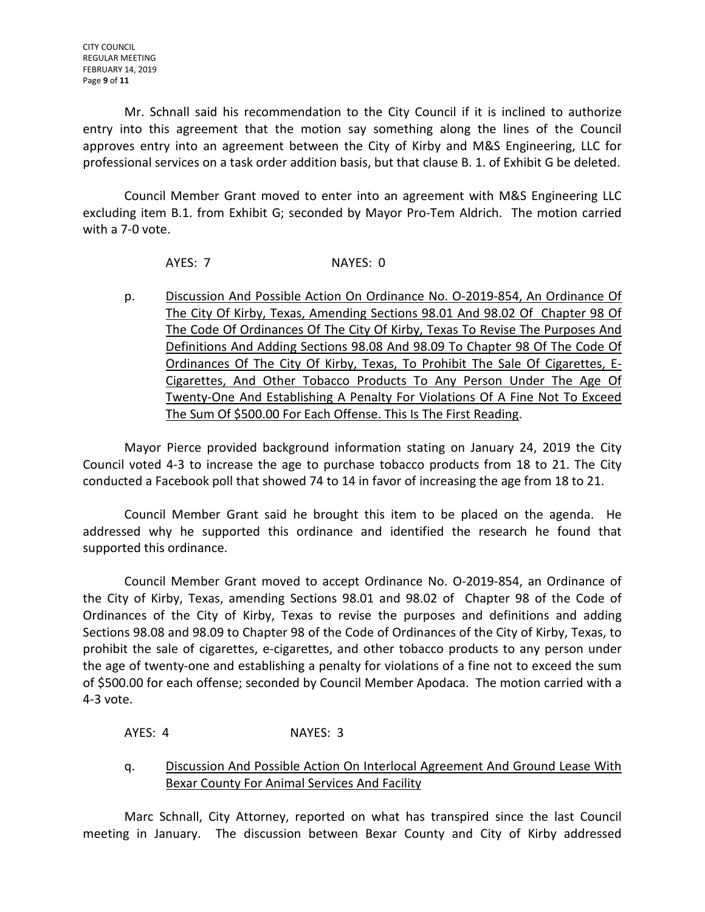Mr. Schnall said his recommendation to the City Council if it is inclined to authorize entry into this agreement that the motion say something along the lines of the Council approves entry into an agreement between the City of Kirby and M&S Engineering, LLC for professional services on a task order addition basis, but that clause B. 1. of Exhibit G be deleted.

Council Member Grant moved to enter into an agreement with M&S Engineering LLC excluding item B.1. from Exhibit G; seconded by Mayor Pro-Tem Aldrich. The motion carried with a 7-0 vote.

### AYES: 7 NAYES: 0

p. Discussion And Possible Action On Ordinance No. O-2019-854, An Ordinance Of The City Of Kirby, Texas, Amending Sections 98.01 And 98.02 Of Chapter 98 Of The Code Of Ordinances Of The City Of Kirby, Texas To Revise The Purposes And Definitions And Adding Sections 98.08 And 98.09 To Chapter 98 Of The Code Of Ordinances Of The City Of Kirby, Texas, To Prohibit The Sale Of Cigarettes, E-Cigarettes, And Other Tobacco Products To Any Person Under The Age Of Twenty-One And Establishing A Penalty For Violations Of A Fine Not To Exceed The Sum Of \$500.00 For Each Offense. This Is The First Reading.

Mayor Pierce provided background information stating on January 24, 2019 the City Council voted 4-3 to increase the age to purchase tobacco products from 18 to 21. The City conducted a Facebook poll that showed 74 to 14 in favor of increasing the age from 18 to 21.

Council Member Grant said he brought this item to be placed on the agenda. He addressed why he supported this ordinance and identified the research he found that supported this ordinance.

Council Member Grant moved to accept Ordinance No. O-2019-854, an Ordinance of the City of Kirby, Texas, amending Sections 98.01 and 98.02 of Chapter 98 of the Code of Ordinances of the City of Kirby, Texas to revise the purposes and definitions and adding Sections 98.08 and 98.09 to Chapter 98 of the Code of Ordinances of the City of Kirby, Texas, to prohibit the sale of cigarettes, e-cigarettes, and other tobacco products to any person under the age of twenty-one and establishing a penalty for violations of a fine not to exceed the sum of \$500.00 for each offense; seconded by Council Member Apodaca. The motion carried with a 4-3 vote.

## AYES: 4 NAYES: 3

q. Discussion And Possible Action On Interlocal Agreement And Ground Lease With Bexar County For Animal Services And Facility

Marc Schnall, City Attorney, reported on what has transpired since the last Council meeting in January. The discussion between Bexar County and City of Kirby addressed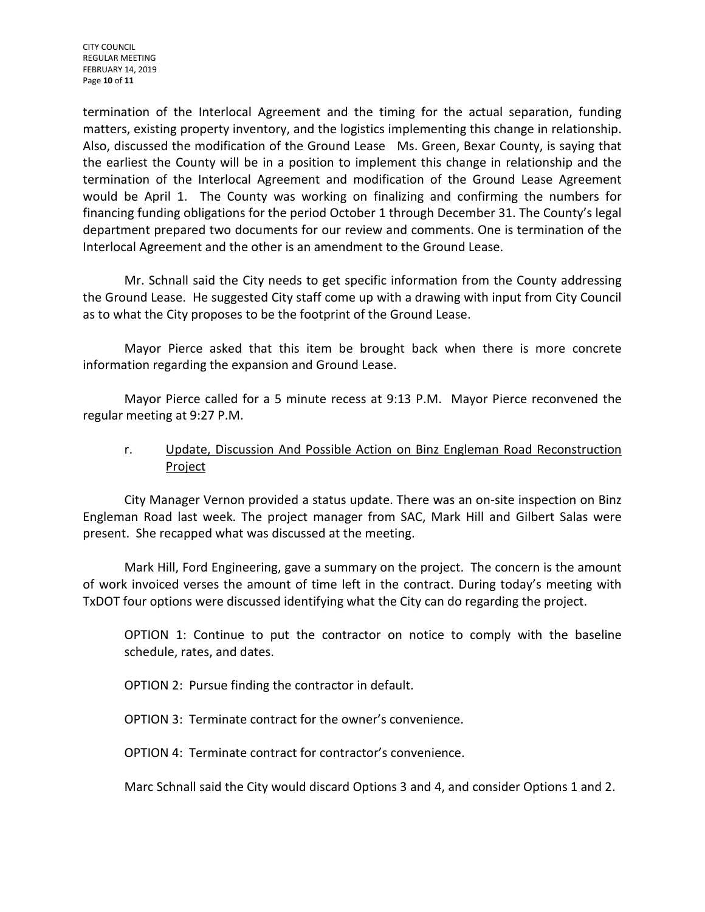CITY COUNCIL REGULAR MEETING FEBRUARY 14, 2019 Page **10** of **11**

termination of the Interlocal Agreement and the timing for the actual separation, funding matters, existing property inventory, and the logistics implementing this change in relationship. Also, discussed the modification of the Ground Lease Ms. Green, Bexar County, is saying that the earliest the County will be in a position to implement this change in relationship and the termination of the Interlocal Agreement and modification of the Ground Lease Agreement would be April 1. The County was working on finalizing and confirming the numbers for financing funding obligations for the period October 1 through December 31. The County's legal department prepared two documents for our review and comments. One is termination of the Interlocal Agreement and the other is an amendment to the Ground Lease.

Mr. Schnall said the City needs to get specific information from the County addressing the Ground Lease. He suggested City staff come up with a drawing with input from City Council as to what the City proposes to be the footprint of the Ground Lease.

Mayor Pierce asked that this item be brought back when there is more concrete information regarding the expansion and Ground Lease.

Mayor Pierce called for a 5 minute recess at 9:13 P.M. Mayor Pierce reconvened the regular meeting at 9:27 P.M.

## r. Update, Discussion And Possible Action on Binz Engleman Road Reconstruction **Project**

City Manager Vernon provided a status update. There was an on-site inspection on Binz Engleman Road last week. The project manager from SAC, Mark Hill and Gilbert Salas were present. She recapped what was discussed at the meeting.

Mark Hill, Ford Engineering, gave a summary on the project. The concern is the amount of work invoiced verses the amount of time left in the contract. During today's meeting with TxDOT four options were discussed identifying what the City can do regarding the project.

OPTION 1: Continue to put the contractor on notice to comply with the baseline schedule, rates, and dates.

OPTION 2: Pursue finding the contractor in default.

OPTION 3: Terminate contract for the owner's convenience.

OPTION 4: Terminate contract for contractor's convenience.

Marc Schnall said the City would discard Options 3 and 4, and consider Options 1 and 2.